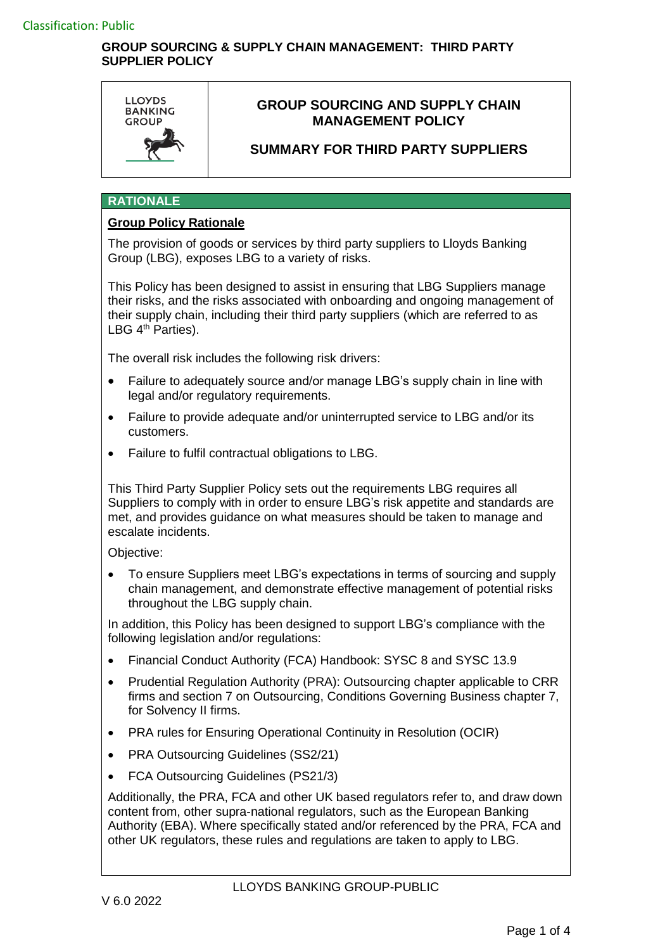### **GROUP SOURCING & SUPPLY CHAIN MANAGEMENT: THIRD PARTY SUPPLIER POLICY**



# **GROUP SOURCING AND SUPPLY CHAIN MANAGEMENT POLICY**

# **SUMMARY FOR THIRD PARTY SUPPLIERS**

#### **RATIONALE**

### **Group Policy Rationale**

The provision of goods or services by third party suppliers to Lloyds Banking Group (LBG), exposes LBG to a variety of risks.

This Policy has been designed to assist in ensuring that LBG Suppliers manage their risks, and the risks associated with onboarding and ongoing management of their supply chain, including their third party suppliers (which are referred to as LBG 4<sup>th</sup> Parties).

The overall risk includes the following risk drivers:

- Failure to adequately source and/or manage LBG's supply chain in line with legal and/or regulatory requirements.
- Failure to provide adequate and/or uninterrupted service to LBG and/or its customers.
- Failure to fulfil contractual obligations to LBG.

This Third Party Supplier Policy sets out the requirements LBG requires all Suppliers to comply with in order to ensure LBG's risk appetite and standards are met, and provides guidance on what measures should be taken to manage and escalate incidents.

Objective:

 To ensure Suppliers meet LBG's expectations in terms of sourcing and supply chain management, and demonstrate effective management of potential risks throughout the LBG supply chain.

In addition, this Policy has been designed to support LBG's compliance with the following legislation and/or regulations:

- Financial Conduct Authority (FCA) Handbook: SYSC 8 and SYSC 13.9
- Prudential Regulation Authority (PRA): Outsourcing chapter applicable to CRR firms and section 7 on Outsourcing, Conditions Governing Business chapter 7, for Solvency II firms.
- PRA rules for Ensuring Operational Continuity in Resolution (OCIR)
- PRA Outsourcing Guidelines (SS2/21)
- FCA Outsourcing Guidelines (PS21/3)

Additionally, the PRA, FCA and other UK based regulators refer to, and draw down content from, other supra-national regulators, such as the European Banking Authority (EBA). Where specifically stated and/or referenced by the PRA, FCA and other UK regulators, these rules and regulations are taken to apply to LBG.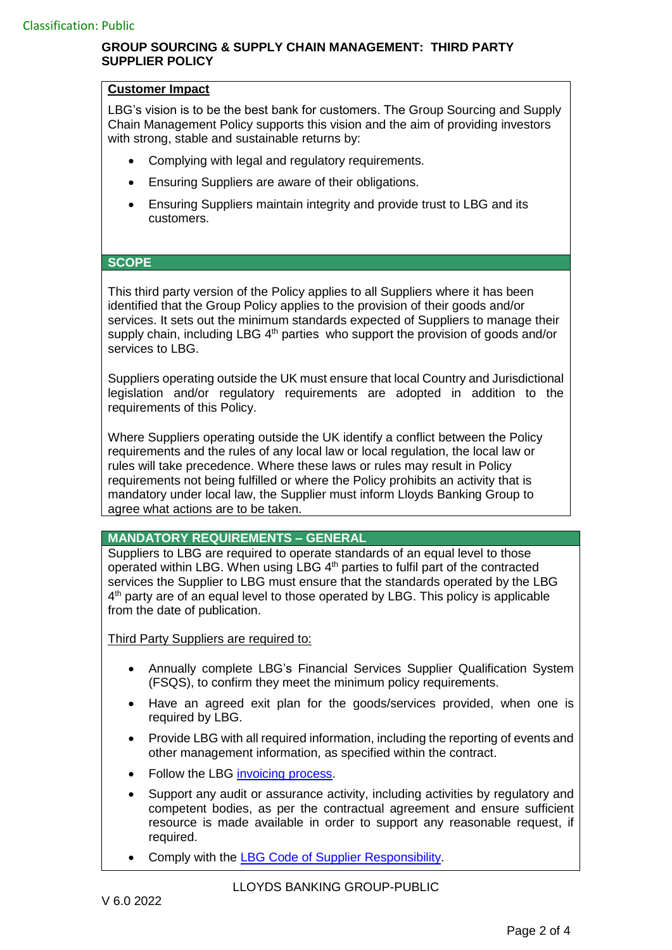## **GROUP SOURCING & SUPPLY CHAIN MANAGEMENT: THIRD PARTY SUPPLIER POLICY**

#### **Customer Impact**

LBG's vision is to be the best bank for customers. The Group Sourcing and Supply Chain Management Policy supports this vision and the aim of providing investors with strong, stable and sustainable returns by:

- Complying with legal and regulatory requirements.
- Ensuring Suppliers are aware of their obligations.
- Ensuring Suppliers maintain integrity and provide trust to LBG and its customers.

#### **SCOPE**

This third party version of the Policy applies to all Suppliers where it has been identified that the Group Policy applies to the provision of their goods and/or services. It sets out the minimum standards expected of Suppliers to manage their supply chain, including LBG  $4<sup>th</sup>$  parties who support the provision of goods and/or services to LBG.

Suppliers operating outside the UK must ensure that local Country and Jurisdictional legislation and/or regulatory requirements are adopted in addition to the requirements of this Policy.

Where Suppliers operating outside the UK identify a conflict between the Policy requirements and the rules of any local law or local regulation, the local law or rules will take precedence. Where these laws or rules may result in Policy requirements not being fulfilled or where the Policy prohibits an activity that is mandatory under local law, the Supplier must inform Lloyds Banking Group to agree what actions are to be taken.

### **MANDATORY REQUIREMENTS – GENERAL**

Suppliers to LBG are required to operate standards of an equal level to those operated within LBG. When using LBG 4<sup>th</sup> parties to fulfil part of the contracted services the Supplier to LBG must ensure that the standards operated by the LBG 4<sup>th</sup> party are of an equal level to those operated by LBG. This policy is applicable from the date of publication.

Third Party Suppliers are required to:

- Annually complete LBG's Financial Services Supplier Qualification System (FSQS), to confirm they meet the minimum policy requirements.
- Have an agreed exit plan for the goods/services provided, when one is required by LBG.
- Provide LBG with all required information, including the reporting of events and other management information, as specified within the contract.
- Follow the LBG [invoicing process.](https://www.lloydsbankinggroup.com/who-we-are/working-with-suppliers/getting-paid.html)
- Support any audit or assurance activity, including activities by regulatory and competent bodies, as per the contractual agreement and ensure sufficient resource is made available in order to support any reasonable request, if required.
- Comply with the [LBG Code of Supplier Responsibility.](https://www.lloydsbankinggroup.com/assets/pdfs/who-we-are/working-with-suppliers/third-party-policies/code-of-supplier-responsibility-feb2022.pdf)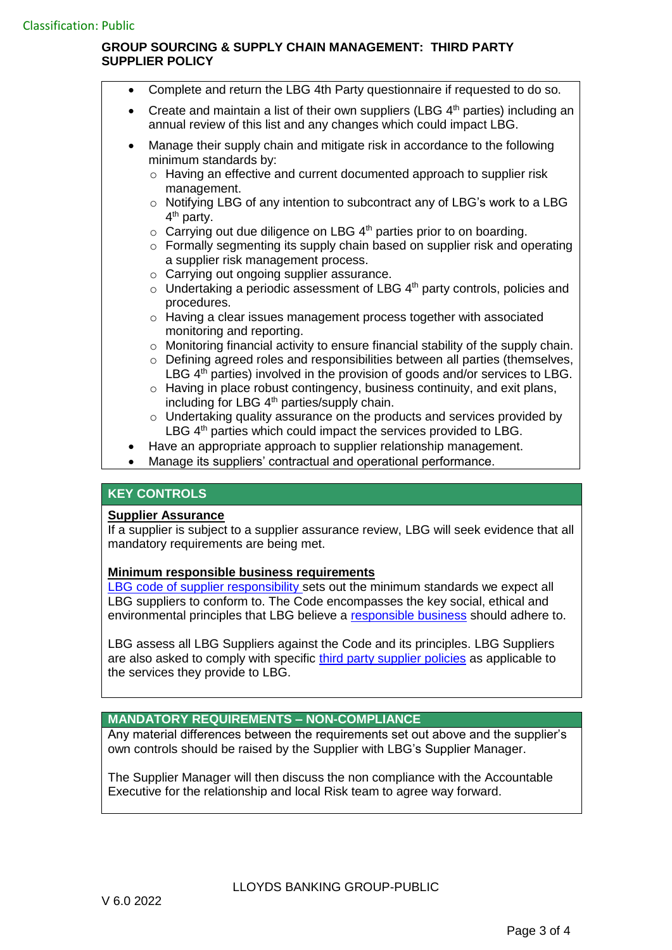## **GROUP SOURCING & SUPPLY CHAIN MANAGEMENT: THIRD PARTY SUPPLIER POLICY**

- Complete and return the LBG 4th Party questionnaire if requested to do so.
- Create and maintain a list of their own suppliers (LBG  $4<sup>th</sup>$  parties) including an annual review of this list and any changes which could impact LBG.
- Manage their supply chain and mitigate risk in accordance to the following minimum standards by:
	- $\circ$  Having an effective and current documented approach to supplier risk management.
	- o Notifying LBG of any intention to subcontract any of LBG's work to a LBG 4<sup>th</sup> party.
	- $\circ$  Carrying out due diligence on LBG 4<sup>th</sup> parties prior to on boarding.
	- o Formally segmenting its supply chain based on supplier risk and operating a supplier risk management process.
	- o Carrying out ongoing supplier assurance.
	- $\circ$  Undertaking a periodic assessment of LBG  $4<sup>th</sup>$  party controls, policies and procedures.
	- $\circ$  Having a clear issues management process together with associated monitoring and reporting.
	- $\circ$  Monitoring financial activity to ensure financial stability of the supply chain. o Defining agreed roles and responsibilities between all parties (themselves,
	- LBG  $4<sup>th</sup>$  parties) involved in the provision of goods and/or services to LBG. o Having in place robust contingency, business continuity, and exit plans,
	- including for LBG 4<sup>th</sup> parties/supply chain.
	- o Undertaking quality assurance on the products and services provided by LBG 4<sup>th</sup> parties which could impact the services provided to LBG.
- Have an appropriate approach to supplier relationship management.
- Manage its suppliers' contractual and operational performance.

### **KEY CONTROLS**

### **Supplier Assurance**

If a supplier is subject to a supplier assurance review, LBG will seek evidence that all mandatory requirements are being met.

### **Minimum responsible business requirements**

LBG [code of supplier responsibility](https://www.lloydsbankinggroup.com/assets/pdfs/who-we-are/working-with-suppliers/third-party-policies/code-of-supplier-responsibility-feb2022.pdf) sets out the minimum standards we expect all LBG suppliers to conform to. The Code encompasses the key social, ethical and environmental principles that LBG believe a [responsible business](https://www.lloydsbankinggroup.com/who-we-are/working-with-suppliers.html) should adhere to.

LBG assess all LBG Suppliers against the Code and its principles. LBG Suppliers are also asked to comply with specific [third party supplier policies](https://www.lloydsbankinggroup.com/who-we-are/working-with-suppliers/policy-compliance.html) as applicable to the services they provide to LBG.

# **MANDATORY REQUIREMENTS – NON-COMPLIANCE**

Any material differences between the requirements set out above and the supplier's own controls should be raised by the Supplier with LBG's Supplier Manager.

The Supplier Manager will then discuss the non compliance with the Accountable Executive for the relationship and local Risk team to agree way forward.